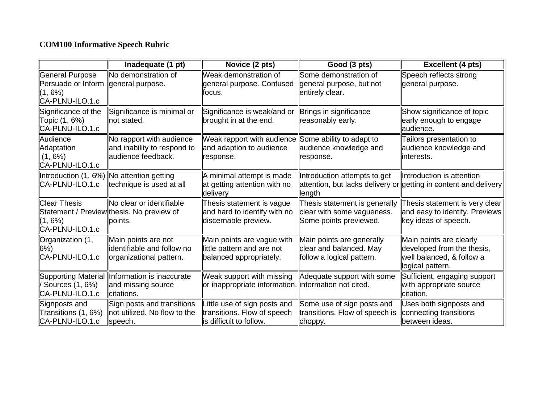## **COM100 Informative Speech Rubric**

|                                                                        | Inadequate (1 pt)                                                                        | Novice (2 pts)                                                                               | Good (3 pts)                                                                          | <b>Excellent (4 pts)</b>                                                                               |
|------------------------------------------------------------------------|------------------------------------------------------------------------------------------|----------------------------------------------------------------------------------------------|---------------------------------------------------------------------------------------|--------------------------------------------------------------------------------------------------------|
| General Purpose<br>Persuade or Inform<br>$(1, 6\%)$<br>CA-PLNU-ILO.1.c | No demonstration of<br>general purpose.                                                  | Weak demonstration of<br>general purpose. Confused<br>focus.                                 | Some demonstration of<br>general purpose, but not<br>entirely clear.                  | Speech reflects strong<br>general purpose.                                                             |
| Significance of the<br>Topic (1, 6%)<br>CA-PLNU-ILO.1.c                | Significance is minimal or<br>not stated.                                                | Significance is weak/and or<br>brought in at the end.                                        | Brings in significance<br>reasonably early.                                           | Show significance of topic<br>early enough to engage<br>laudience.                                     |
| Audience<br>Adaptation<br>$(1, 6\%)$<br>CA-PLNU-ILO.1.c                | No rapport with audience<br>and inability to respond to<br>audience feedback.            | Weak rapport with audience Some ability to adapt to<br>and adaption to audience<br>response. | audience knowledge and<br>response.                                                   | Tailors presentation to<br>audience knowledge and<br>interests.                                        |
| Introduction (1, 6%)   No attention getting<br>CA-PLNU-ILO.1.c         | technique is used at all                                                                 | A minimal attempt is made<br>at getting attention with no<br>delivery                        | Introduction attempts to get<br>llength                                               | Introduction is attention<br>attention, but lacks delivery or getting in content and delivery          |
| <b>Clear Thesis</b><br>$(1, 6\%)$<br>CA-PLNU-ILO.1.c                   | <b>INo clear or identifiable</b><br>Statement / Preview thesis. No preview of<br>points. | Thesis statement is vague<br>and hard to identify with no<br>discernable preview.            | Thesis statement is generally<br>clear with some vagueness.<br>Some points previewed. | Thesis statement is very clear<br>and easy to identify. Previews<br>key ideas of speech.               |
| Organization (1,<br>$6\%)$<br>CA-PLNU-ILO.1.c                          | Main points are not<br>dentifiable and follow no<br>organizational pattern.              | Main points are vague with<br>little pattern and are not<br>balanced appropriately.          | Main points are generally<br>clear and balanced. May<br>follow a logical pattern.     | Main points are clearly<br>developed from the thesis,<br>well balanced, & follow a<br>logical pattern. |
| $\sqrt{$ Sources (1, 6%)<br>CA-PLNU-ILO.1.c                            | Supporting Material  Information is inaccurate<br>and missing source<br>citations.       | Weak support with missing<br>or inappropriate information. information not cited.            | Adequate support with some                                                            | Sufficient, engaging support<br>with appropriate source<br>citation.                                   |
| Signposts and<br>Transitions (1, 6%)<br>CA-PLNU-ILO.1.c                | Sign posts and transitions<br>not utilized. No flow to the<br>speech.                    | ittle use of sign posts and<br>transitions. Flow of speech<br>is difficult to follow.        | Some use of sign posts and<br>transitions. Flow of speech is<br>choppy.               | Uses both signposts and<br>connecting transitions<br>between ideas.                                    |